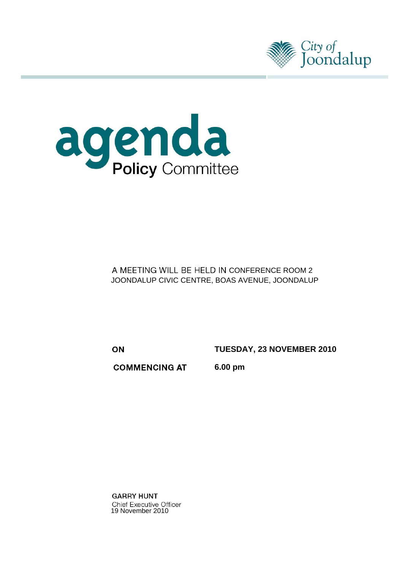



A MEETING WILL BE HELD IN CONFERENCE ROOM 2 JOONDALUP CIVIC CENTRE, BOAS AVENUE, JOONDALUP

ON

**TUESDAY, 23 NOVEMBER 2010**

**COMMENCING AT 6.00 pm** 

**GARRY HUNT** Chief Executive Officer<br>19 November 2010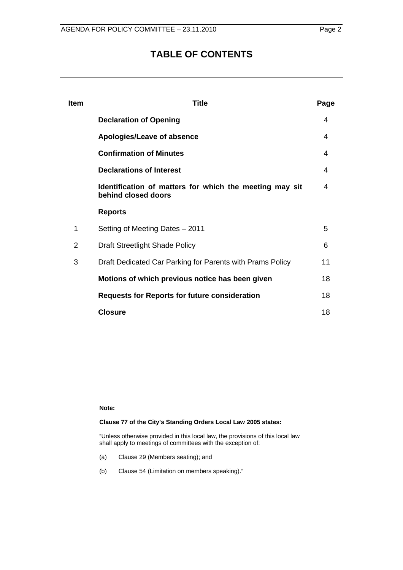# **TABLE OF CONTENTS**

| <b>Item</b> | Title                                                                          | Page |
|-------------|--------------------------------------------------------------------------------|------|
|             | <b>Declaration of Opening</b>                                                  | 4    |
|             | Apologies/Leave of absence                                                     | 4    |
|             | <b>Confirmation of Minutes</b>                                                 | 4    |
|             | <b>Declarations of Interest</b>                                                | 4    |
|             | Identification of matters for which the meeting may sit<br>behind closed doors | 4    |
|             | <b>Reports</b>                                                                 |      |
| 1           | Setting of Meeting Dates - 2011                                                | 5    |
| 2           | Draft Streetlight Shade Policy                                                 | 6    |
| 3           | Draft Dedicated Car Parking for Parents with Prams Policy                      | 11   |
|             | Motions of which previous notice has been given                                | 18   |
|             | <b>Requests for Reports for future consideration</b>                           | 18   |
|             | <b>Closure</b>                                                                 | 18   |

**Note:** 

#### **Clause 77 of the City's Standing Orders Local Law 2005 states:**

"Unless otherwise provided in this local law, the provisions of this local law shall apply to meetings of committees with the exception of:

- (a) Clause 29 (Members seating); and
- (b) Clause 54 (Limitation on members speaking)."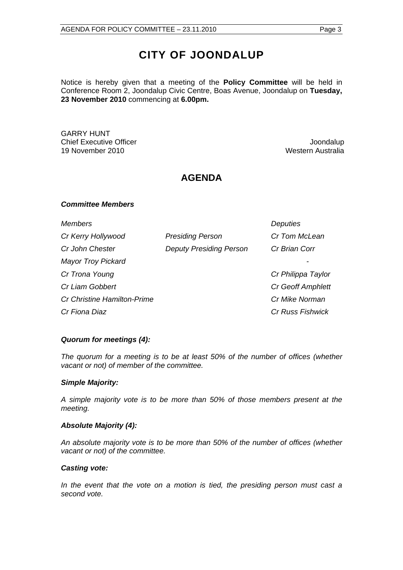# **CITY OF JOONDALUP**

Notice is hereby given that a meeting of the **Policy Committee** will be held in Conference Room 2, Joondalup Civic Centre, Boas Avenue, Joondalup on **Tuesday, 23 November 2010** commencing at **6.00pm.**

GARRY HUNT Chief Executive Officer **Joondalup** 19 November 2010 Western Australia

# **AGENDA**

#### *Committee Members*

*Members Deputies* 

| Cr Kerry Hollywood          | <b>Presiding Person</b>        | Cr Tom McLean            |
|-----------------------------|--------------------------------|--------------------------|
| Cr John Chester             | <b>Deputy Presiding Person</b> | Cr Brian Corr            |
| <b>Mayor Troy Pickard</b>   |                                |                          |
| Cr Trona Young              |                                | Cr Philippa Taylor       |
| Cr Liam Gobbert             |                                | <b>Cr Geoff Amphlett</b> |
| Cr Christine Hamilton-Prime |                                | Cr Mike Norman           |
| Cr Fiona Diaz               |                                | <b>Cr Russ Fishwick</b>  |

#### *Quorum for meetings (4):*

*The quorum for a meeting is to be at least 50% of the number of offices (whether vacant or not) of member of the committee.* 

#### *Simple Majority:*

*A simple majority vote is to be more than 50% of those members present at the meeting.* 

#### *Absolute Majority (4):*

*An absolute majority vote is to be more than 50% of the number of offices (whether vacant or not) of the committee.* 

#### *Casting vote:*

In the event that the vote on a motion is tied, the presiding person must cast a *second vote.*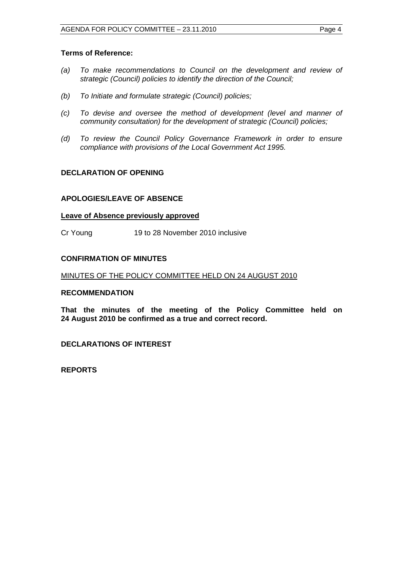#### **Terms of Reference:**

- *(a) To make recommendations to Council on the development and review of strategic (Council) policies to identify the direction of the Council;*
- *(b) To Initiate and formulate strategic (Council) policies;*
- *(c) To devise and oversee the method of development (level and manner of community consultation) for the development of strategic (Council) policies;*
- *(d) To review the Council Policy Governance Framework in order to ensure compliance with provisions of the Local Government Act 1995.*

# **DECLARATION OF OPENING**

#### **APOLOGIES/LEAVE OF ABSENCE**

#### **Leave of Absence previously approved**

Cr Young 19 to 28 November 2010 inclusive

#### **CONFIRMATION OF MINUTES**

#### MINUTES OF THE POLICY COMMITTEE HELD ON 24 AUGUST 2010

#### **RECOMMENDATION**

**That the minutes of the meeting of the Policy Committee held on 24 August 2010 be confirmed as a true and correct record.** 

**DECLARATIONS OF INTEREST** 

**REPORTS**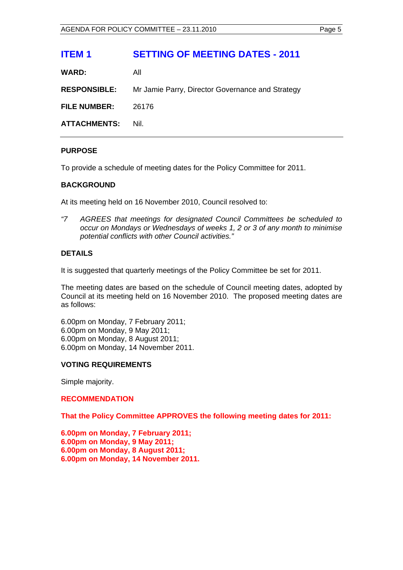**WARD:** All

**RESPONSIBLE:** Mr Jamie Parry, Director Governance and Strategy

**FILE NUMBER:** 26176

**ATTACHMENTS:** Nil.

# **PURPOSE**

To provide a schedule of meeting dates for the Policy Committee for 2011.

# **BACKGROUND**

At its meeting held on 16 November 2010, Council resolved to:

*"7 AGREES that meetings for designated Council Committees be scheduled to occur on Mondays or Wednesdays of weeks 1, 2 or 3 of any month to minimise potential conflicts with other Council activities."* 

# **DETAILS**

It is suggested that quarterly meetings of the Policy Committee be set for 2011.

The meeting dates are based on the schedule of Council meeting dates, adopted by Council at its meeting held on 16 November 2010. The proposed meeting dates are as follows:

6.00pm on Monday, 7 February 2011; 6.00pm on Monday, 9 May 2011; 6.00pm on Monday, 8 August 2011; 6.00pm on Monday, 14 November 2011.

# **VOTING REQUIREMENTS**

Simple majority.

#### **RECOMMENDATION**

**That the Policy Committee APPROVES the following meeting dates for 2011:** 

**6.00pm on Monday, 7 February 2011; 6.00pm on Monday, 9 May 2011; 6.00pm on Monday, 8 August 2011; 6.00pm on Monday, 14 November 2011.**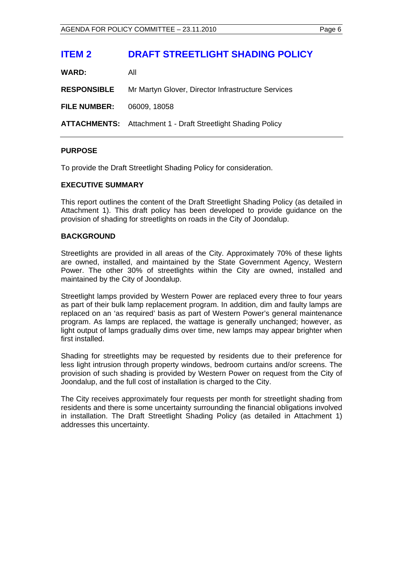# **ITEM 2 DRAFT STREETLIGHT SHADING POLICY**

**WARD:** All

**RESPONSIBLE** Mr Martyn Glover, Director Infrastructure Services

**FILE NUMBER:** 06009, 18058

**ATTACHMENTS:** Attachment 1 - Draft Streetlight Shading Policy

# **PURPOSE**

To provide the Draft Streetlight Shading Policy for consideration.

#### **EXECUTIVE SUMMARY**

This report outlines the content of the Draft Streetlight Shading Policy (as detailed in Attachment 1). This draft policy has been developed to provide guidance on the provision of shading for streetlights on roads in the City of Joondalup.

#### **BACKGROUND**

Streetlights are provided in all areas of the City. Approximately 70% of these lights are owned, installed, and maintained by the State Government Agency, Western Power. The other 30% of streetlights within the City are owned, installed and maintained by the City of Joondalup.

Streetlight lamps provided by Western Power are replaced every three to four years as part of their bulk lamp replacement program. In addition, dim and faulty lamps are replaced on an 'as required' basis as part of Western Power's general maintenance program. As lamps are replaced, the wattage is generally unchanged; however, as light output of lamps gradually dims over time, new lamps may appear brighter when first installed.

Shading for streetlights may be requested by residents due to their preference for less light intrusion through property windows, bedroom curtains and/or screens. The provision of such shading is provided by Western Power on request from the City of Joondalup, and the full cost of installation is charged to the City.

The City receives approximately four requests per month for streetlight shading from residents and there is some uncertainty surrounding the financial obligations involved in installation. The Draft Streetlight Shading Policy (as detailed in Attachment 1) addresses this uncertainty.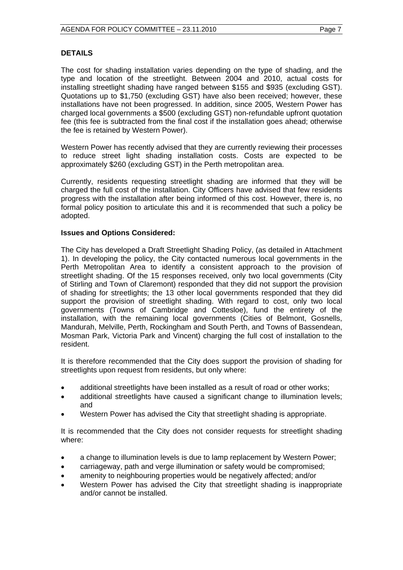## **DETAILS**

The cost for shading installation varies depending on the type of shading, and the type and location of the streetlight. Between 2004 and 2010, actual costs for installing streetlight shading have ranged between \$155 and \$935 (excluding GST). Quotations up to \$1,750 (excluding GST) have also been received; however, these installations have not been progressed. In addition, since 2005, Western Power has charged local governments a \$500 (excluding GST) non-refundable upfront quotation fee (this fee is subtracted from the final cost if the installation goes ahead; otherwise the fee is retained by Western Power).

Western Power has recently advised that they are currently reviewing their processes to reduce street light shading installation costs. Costs are expected to be approximately \$260 (excluding GST) in the Perth metropolitan area.

Currently, residents requesting streetlight shading are informed that they will be charged the full cost of the installation. City Officers have advised that few residents progress with the installation after being informed of this cost. However, there is, no formal policy position to articulate this and it is recommended that such a policy be adopted.

#### **Issues and Options Considered:**

The City has developed a Draft Streetlight Shading Policy, (as detailed in Attachment 1). In developing the policy, the City contacted numerous local governments in the Perth Metropolitan Area to identify a consistent approach to the provision of streetlight shading. Of the 15 responses received, only two local governments (City of Stirling and Town of Claremont) responded that they did not support the provision of shading for streetlights; the 13 other local governments responded that they did support the provision of streetlight shading. With regard to cost, only two local governments (Towns of Cambridge and Cottesloe), fund the entirety of the installation, with the remaining local governments (Cities of Belmont, Gosnells, Mandurah, Melville, Perth, Rockingham and South Perth, and Towns of Bassendean, Mosman Park, Victoria Park and Vincent) charging the full cost of installation to the resident.

It is therefore recommended that the City does support the provision of shading for streetlights upon request from residents, but only where:

- additional streetlights have been installed as a result of road or other works;
- additional streetlights have caused a significant change to illumination levels: and
- Western Power has advised the City that streetlight shading is appropriate.

It is recommended that the City does not consider requests for streetlight shading where:

- a change to illumination levels is due to lamp replacement by Western Power;
- carriageway, path and verge illumination or safety would be compromised;
- amenity to neighbouring properties would be negatively affected; and/or
- Western Power has advised the City that streetlight shading is inappropriate and/or cannot be installed.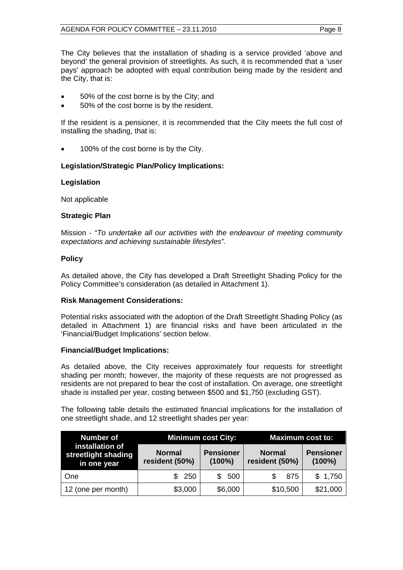The City believes that the installation of shading is a service provided 'above and beyond' the general provision of streetlights. As such, it is recommended that a 'user pays' approach be adopted with equal contribution being made by the resident and the City, that is:

- 50% of the cost borne is by the City; and
- 50% of the cost borne is by the resident.

If the resident is a pensioner, it is recommended that the City meets the full cost of installing the shading, that is:

100% of the cost borne is by the City.

# **Legislation/Strategic Plan/Policy Implications:**

# **Legislation**

Not applicable

# **Strategic Plan**

Mission - *"To undertake all our activities with the endeavour of meeting community expectations and achieving sustainable lifestyles".* 

# **Policy**

As detailed above, the City has developed a Draft Streetlight Shading Policy for the Policy Committee's consideration (as detailed in Attachment 1).

# **Risk Management Considerations:**

Potential risks associated with the adoption of the Draft Streetlight Shading Policy (as detailed in Attachment 1) are financial risks and have been articulated in the 'Financial/Budget Implications' section below.

# **Financial/Budget Implications:**

As detailed above, the City receives approximately four requests for streetlight shading per month; however, the majority of these requests are not progressed as residents are not prepared to bear the cost of installation. On average, one streetlight shade is installed per year, costing between \$500 and \$1,750 (excluding GST).

The following table details the estimated financial implications for the installation of one streetlight shade, and 12 streetlight shades per year:

| <b>Number of</b>                                      |                                 | <b>Minimum cost City:</b>     | <b>Maximum cost to:</b>         |                               |  |
|-------------------------------------------------------|---------------------------------|-------------------------------|---------------------------------|-------------------------------|--|
| installation of<br>streetlight shading<br>in one year | <b>Normal</b><br>resident (50%) | <b>Pensioner</b><br>$(100\%)$ | <b>Normal</b><br>resident (50%) | <b>Pensioner</b><br>$(100\%)$ |  |
| One                                                   | \$250                           | \$500                         | 875                             | \$1,750                       |  |
| 12 (one per month)                                    | \$3,000                         | \$6,000                       | \$10,500                        | \$21,000                      |  |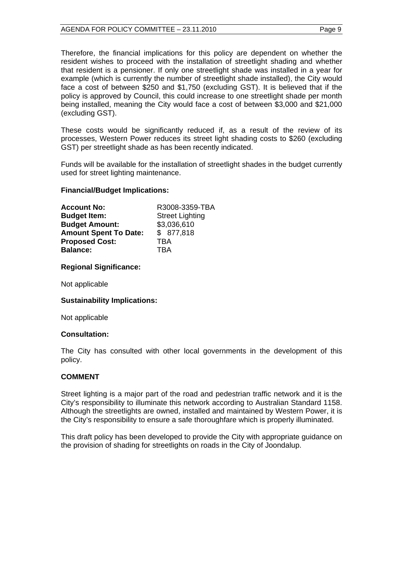Therefore, the financial implications for this policy are dependent on whether the resident wishes to proceed with the installation of streetlight shading and whether that resident is a pensioner. If only one streetlight shade was installed in a year for example (which is currently the number of streetlight shade installed), the City would face a cost of between \$250 and \$1,750 (excluding GST). It is believed that if the policy is approved by Council, this could increase to one streetlight shade per month being installed, meaning the City would face a cost of between \$3,000 and \$21,000 (excluding GST).

These costs would be significantly reduced if, as a result of the review of its processes, Western Power reduces its street light shading costs to \$260 (excluding GST) per streetlight shade as has been recently indicated.

Funds will be available for the installation of streetlight shades in the budget currently used for street lighting maintenance.

#### **Financial/Budget Implications:**

| <b>Account No:</b>           | R3008-3359-TBA         |
|------------------------------|------------------------|
| <b>Budget Item:</b>          | <b>Street Lighting</b> |
| <b>Budget Amount:</b>        | \$3,036,610            |
| <b>Amount Spent To Date:</b> | \$877,818              |
| <b>Proposed Cost:</b>        | TRA                    |
| <b>Balance:</b>              | TRA                    |

#### **Regional Significance:**

Not applicable

# **Sustainability Implications:**

Not applicable

#### **Consultation:**

The City has consulted with other local governments in the development of this policy.

# **COMMENT**

Street lighting is a major part of the road and pedestrian traffic network and it is the City's responsibility to illuminate this network according to Australian Standard 1158. Although the streetlights are owned, installed and maintained by Western Power, it is the City's responsibility to ensure a safe thoroughfare which is properly illuminated.

This draft policy has been developed to provide the City with appropriate guidance on the provision of shading for streetlights on roads in the City of Joondalup.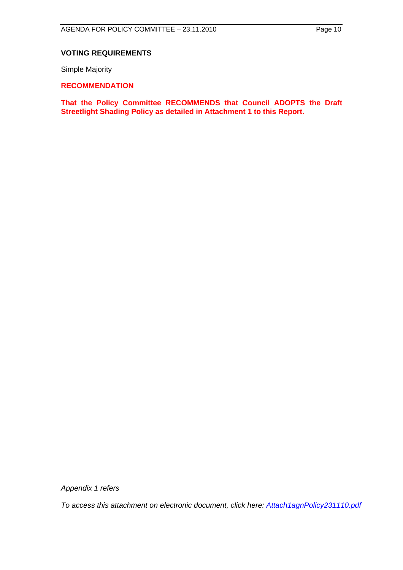#### **VOTING REQUIREMENTS**

Simple Majority

# **RECOMMENDATION**

**That the Policy Committee RECOMMENDS that Council ADOPTS the Draft Streetlight Shading Policy as detailed in Attachment 1 to this Report.**

*Appendix 1 refers* 

*To access this attachment on electronic document, click here:<Attach1agnPolicy231110.pdf>*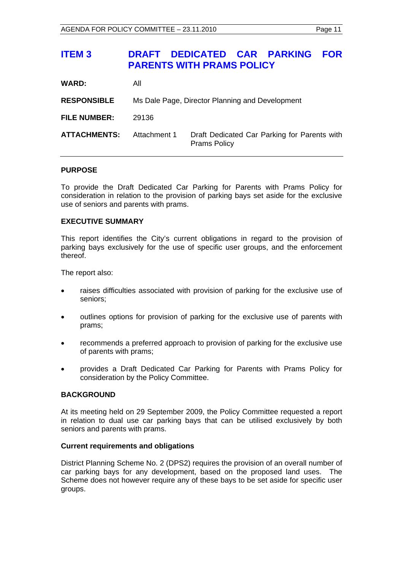# **ITEM 3 DRAFT DEDICATED CAR PARKING FOR PARENTS WITH PRAMS POLICY**

| <b>WARD:</b>        | All                                             |                                                                     |  |
|---------------------|-------------------------------------------------|---------------------------------------------------------------------|--|
| <b>RESPONSIBLE</b>  | Ms Dale Page, Director Planning and Development |                                                                     |  |
| <b>FILE NUMBER:</b> | 29136                                           |                                                                     |  |
| <b>ATTACHMENTS:</b> | Attachment 1                                    | Draft Dedicated Car Parking for Parents with<br><b>Prams Policy</b> |  |

# **PURPOSE**

To provide the Draft Dedicated Car Parking for Parents with Prams Policy for consideration in relation to the provision of parking bays set aside for the exclusive use of seniors and parents with prams.

# **EXECUTIVE SUMMARY**

This report identifies the City's current obligations in regard to the provision of parking bays exclusively for the use of specific user groups, and the enforcement thereof.

The report also:

- raises difficulties associated with provision of parking for the exclusive use of seniors;
- outlines options for provision of parking for the exclusive use of parents with prams;
- recommends a preferred approach to provision of parking for the exclusive use of parents with prams;
- provides a Draft Dedicated Car Parking for Parents with Prams Policy for consideration by the Policy Committee.

# **BACKGROUND**

At its meeting held on 29 September 2009, the Policy Committee requested a report in relation to dual use car parking bays that can be utilised exclusively by both seniors and parents with prams.

#### **Current requirements and obligations**

District Planning Scheme No. 2 (DPS2) requires the provision of an overall number of car parking bays for any development, based on the proposed land uses. The Scheme does not however require any of these bays to be set aside for specific user groups.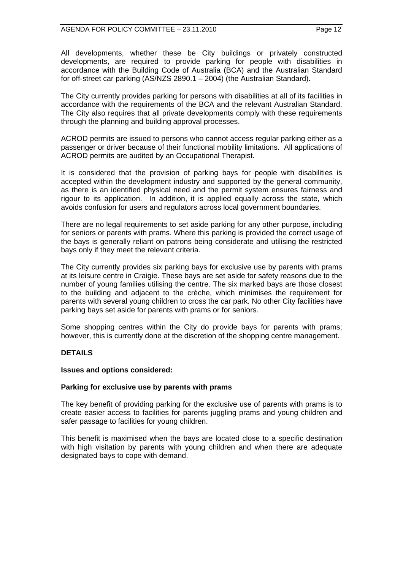All developments, whether these be City buildings or privately constructed developments, are required to provide parking for people with disabilities in accordance with the Building Code of Australia (BCA) and the Australian Standard for off-street car parking (AS/NZS 2890.1 – 2004) (the Australian Standard).

The City currently provides parking for persons with disabilities at all of its facilities in accordance with the requirements of the BCA and the relevant Australian Standard. The City also requires that all private developments comply with these requirements through the planning and building approval processes.

ACROD permits are issued to persons who cannot access regular parking either as a passenger or driver because of their functional mobility limitations. All applications of ACROD permits are audited by an Occupational Therapist.

It is considered that the provision of parking bays for people with disabilities is accepted within the development industry and supported by the general community, as there is an identified physical need and the permit system ensures fairness and rigour to its application. In addition, it is applied equally across the state, which avoids confusion for users and regulators across local government boundaries.

There are no legal requirements to set aside parking for any other purpose, including for seniors or parents with prams. Where this parking is provided the correct usage of the bays is generally reliant on patrons being considerate and utilising the restricted bays only if they meet the relevant criteria.

The City currently provides six parking bays for exclusive use by parents with prams at its leisure centre in Craigie. These bays are set aside for safety reasons due to the number of young families utilising the centre. The six marked bays are those closest to the building and adjacent to the crèche, which minimises the requirement for parents with several young children to cross the car park. No other City facilities have parking bays set aside for parents with prams or for seniors.

Some shopping centres within the City do provide bays for parents with prams; however, this is currently done at the discretion of the shopping centre management.

# **DETAILS**

#### **Issues and options considered:**

#### **Parking for exclusive use by parents with prams**

The key benefit of providing parking for the exclusive use of parents with prams is to create easier access to facilities for parents juggling prams and young children and safer passage to facilities for young children.

This benefit is maximised when the bays are located close to a specific destination with high visitation by parents with young children and when there are adequate designated bays to cope with demand.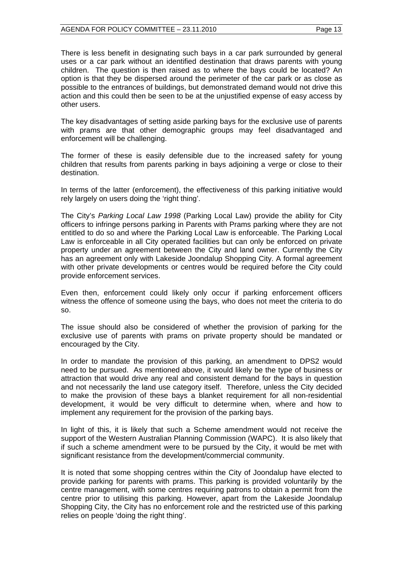There is less benefit in designating such bays in a car park surrounded by general uses or a car park without an identified destination that draws parents with young children. The question is then raised as to where the bays could be located? An option is that they be dispersed around the perimeter of the car park or as close as possible to the entrances of buildings, but demonstrated demand would not drive this action and this could then be seen to be at the unjustified expense of easy access by other users.

The key disadvantages of setting aside parking bays for the exclusive use of parents with prams are that other demographic groups may feel disadvantaged and enforcement will be challenging.

The former of these is easily defensible due to the increased safety for young children that results from parents parking in bays adjoining a verge or close to their destination.

In terms of the latter (enforcement), the effectiveness of this parking initiative would rely largely on users doing the 'right thing'.

The City's *Parking Local Law 1998* (Parking Local Law) provide the ability for City officers to infringe persons parking in Parents with Prams parking where they are not entitled to do so and where the Parking Local Law is enforceable. The Parking Local Law is enforceable in all City operated facilities but can only be enforced on private property under an agreement between the City and land owner. Currently the City has an agreement only with Lakeside Joondalup Shopping City. A formal agreement with other private developments or centres would be required before the City could provide enforcement services.

Even then, enforcement could likely only occur if parking enforcement officers witness the offence of someone using the bays, who does not meet the criteria to do so.

The issue should also be considered of whether the provision of parking for the exclusive use of parents with prams on private property should be mandated or encouraged by the City.

In order to mandate the provision of this parking, an amendment to DPS2 would need to be pursued. As mentioned above, it would likely be the type of business or attraction that would drive any real and consistent demand for the bays in question and not necessarily the land use category itself. Therefore, unless the City decided to make the provision of these bays a blanket requirement for all non-residential development, it would be very difficult to determine when, where and how to implement any requirement for the provision of the parking bays.

In light of this, it is likely that such a Scheme amendment would not receive the support of the Western Australian Planning Commission (WAPC). It is also likely that if such a scheme amendment were to be pursued by the City, it would be met with significant resistance from the development/commercial community.

It is noted that some shopping centres within the City of Joondalup have elected to provide parking for parents with prams. This parking is provided voluntarily by the centre management, with some centres requiring patrons to obtain a permit from the centre prior to utilising this parking. However, apart from the Lakeside Joondalup Shopping City, the City has no enforcement role and the restricted use of this parking relies on people 'doing the right thing'.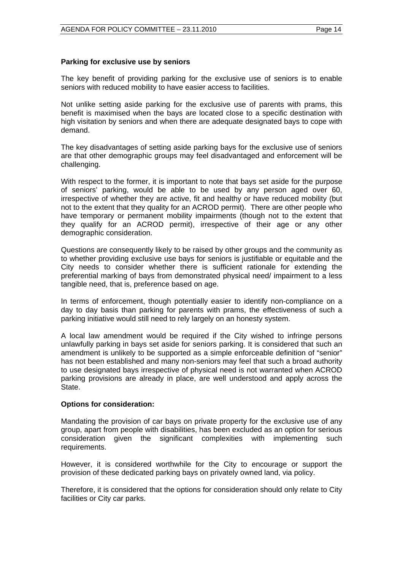## **Parking for exclusive use by seniors**

The key benefit of providing parking for the exclusive use of seniors is to enable seniors with reduced mobility to have easier access to facilities.

Not unlike setting aside parking for the exclusive use of parents with prams, this benefit is maximised when the bays are located close to a specific destination with high visitation by seniors and when there are adequate designated bays to cope with demand.

The key disadvantages of setting aside parking bays for the exclusive use of seniors are that other demographic groups may feel disadvantaged and enforcement will be challenging.

With respect to the former, it is important to note that bays set aside for the purpose of seniors' parking, would be able to be used by any person aged over 60, irrespective of whether they are active, fit and healthy or have reduced mobility (but not to the extent that they quality for an ACROD permit). There are other people who have temporary or permanent mobility impairments (though not to the extent that they qualify for an ACROD permit), irrespective of their age or any other demographic consideration.

Questions are consequently likely to be raised by other groups and the community as to whether providing exclusive use bays for seniors is justifiable or equitable and the City needs to consider whether there is sufficient rationale for extending the preferential marking of bays from demonstrated physical need/ impairment to a less tangible need, that is, preference based on age.

In terms of enforcement, though potentially easier to identify non-compliance on a day to day basis than parking for parents with prams, the effectiveness of such a parking initiative would still need to rely largely on an honesty system.

A local law amendment would be required if the City wished to infringe persons unlawfully parking in bays set aside for seniors parking. It is considered that such an amendment is unlikely to be supported as a simple enforceable definition of "senior" has not been established and many non-seniors may feel that such a broad authority to use designated bays irrespective of physical need is not warranted when ACROD parking provisions are already in place, are well understood and apply across the State.

#### **Options for consideration:**

Mandating the provision of car bays on private property for the exclusive use of any group, apart from people with disabilities, has been excluded as an option for serious consideration given the significant complexities with implementing such requirements.

However, it is considered worthwhile for the City to encourage or support the provision of these dedicated parking bays on privately owned land, via policy.

Therefore, it is considered that the options for consideration should only relate to City facilities or City car parks.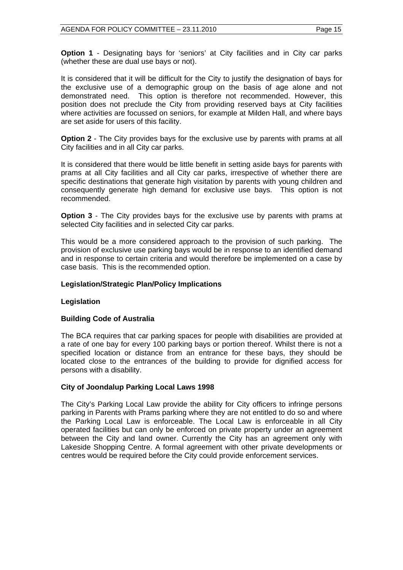**Option 1** - Designating bays for 'seniors' at City facilities and in City car parks (whether these are dual use bays or not).

It is considered that it will be difficult for the City to justify the designation of bays for the exclusive use of a demographic group on the basis of age alone and not demonstrated need. This option is therefore not recommended. However, this position does not preclude the City from providing reserved bays at City facilities where activities are focussed on seniors, for example at Milden Hall, and where bays are set aside for users of this facility.

**Option 2** - The City provides bays for the exclusive use by parents with prams at all City facilities and in all City car parks.

It is considered that there would be little benefit in setting aside bays for parents with prams at all City facilities and all City car parks, irrespective of whether there are specific destinations that generate high visitation by parents with young children and consequently generate high demand for exclusive use bays. This option is not recommended.

**Option 3** - The City provides bays for the exclusive use by parents with prams at selected City facilities and in selected City car parks.

This would be a more considered approach to the provision of such parking. The provision of exclusive use parking bays would be in response to an identified demand and in response to certain criteria and would therefore be implemented on a case by case basis. This is the recommended option.

#### **Legislation/Strategic Plan/Policy Implications**

# **Legislation**

# **Building Code of Australia**

The BCA requires that car parking spaces for people with disabilities are provided at a rate of one bay for every 100 parking bays or portion thereof. Whilst there is not a specified location or distance from an entrance for these bays, they should be located close to the entrances of the building to provide for dignified access for persons with a disability.

#### **City of Joondalup Parking Local Laws 1998**

The City's Parking Local Law provide the ability for City officers to infringe persons parking in Parents with Prams parking where they are not entitled to do so and where the Parking Local Law is enforceable. The Local Law is enforceable in all City operated facilities but can only be enforced on private property under an agreement between the City and land owner. Currently the City has an agreement only with Lakeside Shopping Centre. A formal agreement with other private developments or centres would be required before the City could provide enforcement services.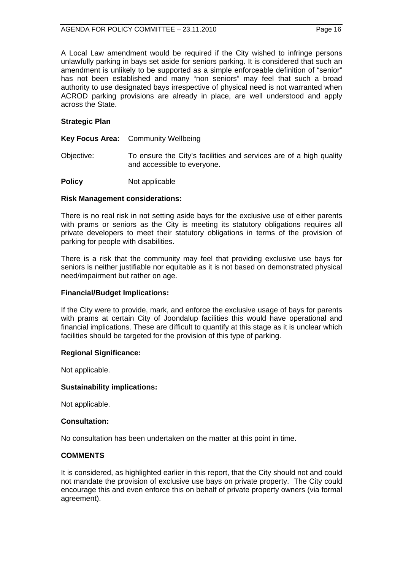A Local Law amendment would be required if the City wished to infringe persons unlawfully parking in bays set aside for seniors parking. It is considered that such an amendment is unlikely to be supported as a simple enforceable definition of "senior" has not been established and many "non seniors" may feel that such a broad authority to use designated bays irrespective of physical need is not warranted when ACROD parking provisions are already in place, are well understood and apply across the State.

## **Strategic Plan**

**Key Focus Area:** Community Wellbeing

Objective: To ensure the City's facilities and services are of a high quality and accessible to everyone.

**Policy** Not applicable

#### **Risk Management considerations:**

There is no real risk in not setting aside bays for the exclusive use of either parents with prams or seniors as the City is meeting its statutory obligations requires all private developers to meet their statutory obligations in terms of the provision of parking for people with disabilities.

There is a risk that the community may feel that providing exclusive use bays for seniors is neither justifiable nor equitable as it is not based on demonstrated physical need/impairment but rather on age.

#### **Financial/Budget Implications:**

If the City were to provide, mark, and enforce the exclusive usage of bays for parents with prams at certain City of Joondalup facilities this would have operational and financial implications. These are difficult to quantify at this stage as it is unclear which facilities should be targeted for the provision of this type of parking.

# **Regional Significance:**

Not applicable.

#### **Sustainability implications:**

Not applicable.

#### **Consultation:**

No consultation has been undertaken on the matter at this point in time.

# **COMMENTS**

It is considered, as highlighted earlier in this report, that the City should not and could not mandate the provision of exclusive use bays on private property. The City could encourage this and even enforce this on behalf of private property owners (via formal agreement).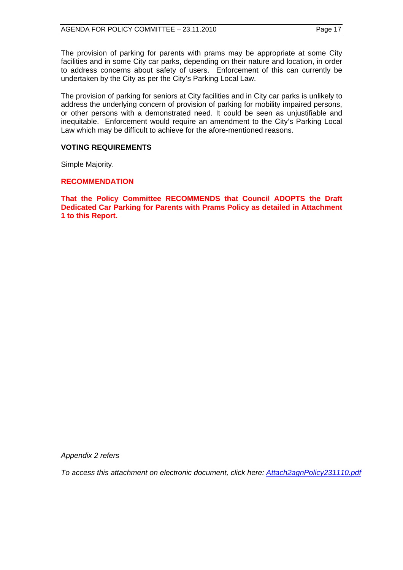The provision of parking for parents with prams may be appropriate at some City facilities and in some City car parks, depending on their nature and location, in order to address concerns about safety of users. Enforcement of this can currently be undertaken by the City as per the City's Parking Local Law.

The provision of parking for seniors at City facilities and in City car parks is unlikely to address the underlying concern of provision of parking for mobility impaired persons, or other persons with a demonstrated need. It could be seen as unjustifiable and inequitable. Enforcement would require an amendment to the City's Parking Local Law which may be difficult to achieve for the afore-mentioned reasons.

#### **VOTING REQUIREMENTS**

Simple Majority.

#### **RECOMMENDATION**

**That the Policy Committee RECOMMENDS that Council ADOPTS the Draft Dedicated Car Parking for Parents with Prams Policy as detailed in Attachment 1 to this Report.** 

*Appendix 2 refers* 

*To access this attachment on electronic document, click here:<Attach2agnPolicy231110.pdf>*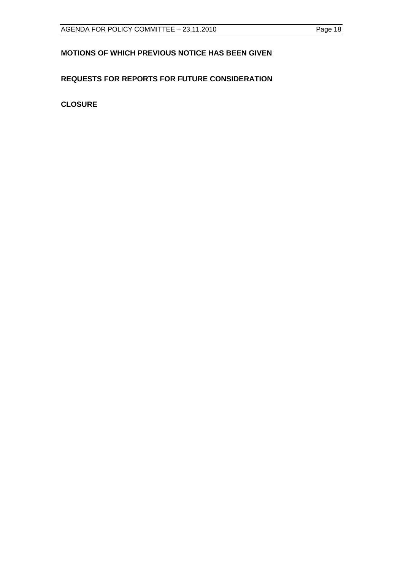# **MOTIONS OF WHICH PREVIOUS NOTICE HAS BEEN GIVEN**

# **REQUESTS FOR REPORTS FOR FUTURE CONSIDERATION**

**CLOSURE**